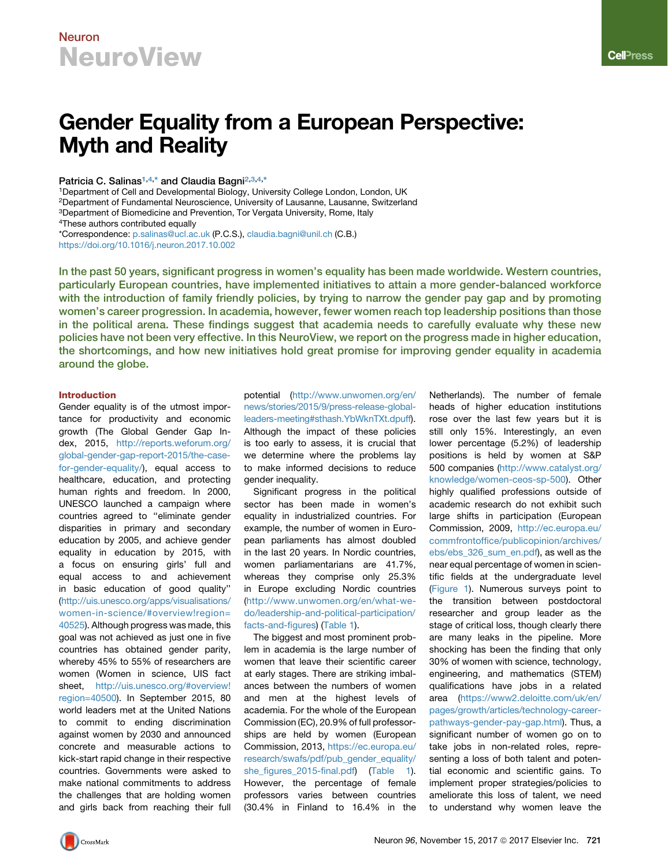# Gender Equality from a European Perspective: Myth and Reality

Patricia C. Salinas<sup>[1,](#page-0-0)[4](#page-0-1),\*</sup> and Claudia Bagni<sup>2,[3](#page-0-3)[,4](#page-0-1),[\\*](#page-0-4)</sup>

<span id="page-0-0"></span><sup>1</sup>Department of Cell and Developmental Biology, University College London, London, UK

<span id="page-0-2"></span>2Department of Fundamental Neuroscience, University of Lausanne, Lausanne, Switzerland

<span id="page-0-3"></span>3Department of Biomedicine and Prevention, Tor Vergata University, Rome, Italy

<span id="page-0-1"></span>4These authors contributed equally

<span id="page-0-4"></span>\*Correspondence: [p.salinas@ucl.ac.uk](mailto:p.salinas@ucl.ac.uk) (P.C.S.), [claudia.bagni@unil.ch](mailto:claudia.bagni@unil.ch) (C.B.)

<https://doi.org/10.1016/j.neuron.2017.10.002>

In the past 50 years, significant progress in women's equality has been made worldwide. Western countries, particularly European countries, have implemented initiatives to attain a more gender-balanced workforce with the introduction of family friendly policies, by trying to narrow the gender pay gap and by promoting women's career progression. In academia, however, fewer women reach top leadership positions than those in the political arena. These findings suggest that academia needs to carefully evaluate why these new policies have not been very effective. In this NeuroView, we report on the progress made in higher education, the shortcomings, and how new initiatives hold great promise for improving gender equality in academia around the globe.

### Introduction

Gender equality is of the utmost importance for productivity and economic growth (The Global Gender Gap Index, 2015, [http://reports.weforum.org/](http://reports.weforum.org/global-gender-gap-report-2015/the-case-for-gender-equality/) [global-gender-gap-report-2015/the-case](http://reports.weforum.org/global-gender-gap-report-2015/the-case-for-gender-equality/)[for-gender-equality/\)](http://reports.weforum.org/global-gender-gap-report-2015/the-case-for-gender-equality/), equal access to healthcare, education, and protecting human rights and freedom. In 2000, UNESCO launched a campaign where countries agreed to ''eliminate gender disparities in primary and secondary education by 2005, and achieve gender equality in education by 2015, with a focus on ensuring girls' full and equal access to and achievement in basic education of good quality'' [\(http://uis.unesco.org/apps/visualisations/](http://uis.unesco.org/apps/visualisations/women-in-science/#overview!region=40525) [women-in-science/#overview!region=](http://uis.unesco.org/apps/visualisations/women-in-science/#overview!region=40525) [40525](http://uis.unesco.org/apps/visualisations/women-in-science/#overview!region=40525)). Although progress was made, this goal was not achieved as just one in five countries has obtained gender parity, whereby 45% to 55% of researchers are women (Women in science, UIS fact sheet, [http://uis.unesco.org/#overview!](http://uis.unesco.org/#overview!region=40500) [region=40500](http://uis.unesco.org/#overview!region=40500)). In September 2015, 80 world leaders met at the United Nations to commit to ending discrimination against women by 2030 and announced concrete and measurable actions to kick-start rapid change in their respective countries. Governments were asked to make national commitments to address the challenges that are holding women and girls back from reaching their full

potential [\(http://www.unwomen.org/en/](http://www.unwomen.org/en/news/stories/2015/9/press-release-global-leaders-meeting#sthash.YbWknTXt.dpuff) [news/stories/2015/9/press-release-global](http://www.unwomen.org/en/news/stories/2015/9/press-release-global-leaders-meeting#sthash.YbWknTXt.dpuff)[leaders-meeting#sthash.YbWknTXt.dpuff](http://www.unwomen.org/en/news/stories/2015/9/press-release-global-leaders-meeting#sthash.YbWknTXt.dpuff)). Although the impact of these policies is too early to assess, it is crucial that we determine where the problems lay to make informed decisions to reduce gender inequality.

Significant progress in the political sector has been made in women's equality in industrialized countries. For example, the number of women in European parliaments has almost doubled in the last 20 years. In Nordic countries, women parliamentarians are 41.7%, whereas they comprise only 25.3% in Europe excluding Nordic countries ([http://www.unwomen.org/en/what-we](http://www.unwomen.org/en/what-we-do/leadership-and-political-participation/facts-and-figures)[do/leadership-and-political-participation/](http://www.unwomen.org/en/what-we-do/leadership-and-political-participation/facts-and-figures) [facts-and-figures](http://www.unwomen.org/en/what-we-do/leadership-and-political-participation/facts-and-figures)) [\(Table 1](#page-1-0)).

The biggest and most prominent problem in academia is the large number of women that leave their scientific career at early stages. There are striking imbalances between the numbers of women and men at the highest levels of academia. For the whole of the European Commission (EC), 20.9% of full professorships are held by women (European Commission, 2013, [https://ec.europa.eu/](https://ec.europa.eu/research/swafs/pdf/pub_gender_equality/she_figures_2015-final.pdf) [research/swafs/pdf/pub\\_gender\\_equality/](https://ec.europa.eu/research/swafs/pdf/pub_gender_equality/she_figures_2015-final.pdf) [she\\_figures\\_2015-final.pdf](https://ec.europa.eu/research/swafs/pdf/pub_gender_equality/she_figures_2015-final.pdf)) [\(Table 1](#page-1-0)). However, the percentage of female professors varies between countries (30.4% in Finland to 16.4% in the

Netherlands). The number of female heads of higher education institutions rose over the last few years but it is still only 15%. Interestingly, an even lower percentage (5.2%) of leadership positions is held by women at S&P 500 companies [\(http://www.catalyst.org/](http://www.catalyst.org/knowledge/women-ceos-sp-500) [knowledge/women-ceos-sp-500](http://www.catalyst.org/knowledge/women-ceos-sp-500)). Other highly qualified professions outside of academic research do not exhibit such large shifts in participation (European Commission, 2009, [http://ec.europa.eu/](http://ec.europa.eu/commfrontoffice/publicopinion/archives/ebs/ebs_326_sum_en.pdf) [commfrontoffice/publicopinion/archives/](http://ec.europa.eu/commfrontoffice/publicopinion/archives/ebs/ebs_326_sum_en.pdf) [ebs/ebs\\_326\\_sum\\_en.pdf](http://ec.europa.eu/commfrontoffice/publicopinion/archives/ebs/ebs_326_sum_en.pdf)), as well as the near equal percentage of women in scientific fields at the undergraduate level [\(Figure 1](#page-2-0)). Numerous surveys point to the transition between postdoctoral researcher and group leader as the stage of critical loss, though clearly there are many leaks in the pipeline. More shocking has been the finding that only 30% of women with science, technology, engineering, and mathematics (STEM) qualifications have jobs in a related area [\(https://www2.deloitte.com/uk/en/](https://www2.deloitte.com/uk/en/pages/growth/articles/technology-career-pathways-gender-pay-gap.html) [pages/growth/articles/technology-career](https://www2.deloitte.com/uk/en/pages/growth/articles/technology-career-pathways-gender-pay-gap.html)[pathways-gender-pay-gap.html\)](https://www2.deloitte.com/uk/en/pages/growth/articles/technology-career-pathways-gender-pay-gap.html). Thus, a significant number of women go on to take jobs in non-related roles, representing a loss of both talent and potential economic and scientific gains. To implement proper strategies/policies to ameliorate this loss of talent, we need to understand why women leave the

CrossMark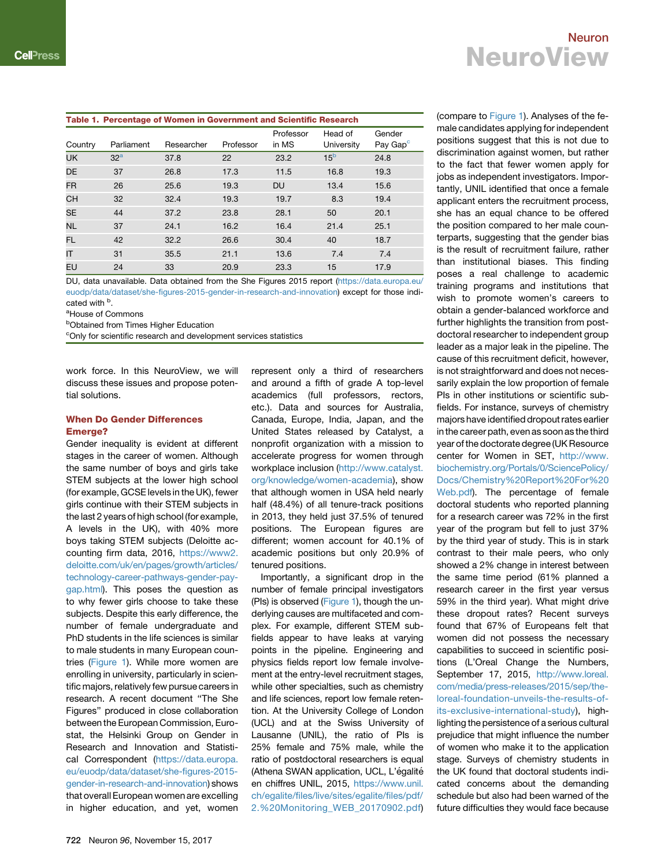<span id="page-1-0"></span>

| Table 1. Percentage of Women in Government and Scientific Research |                 |            |           |                    |                       |                                |  |
|--------------------------------------------------------------------|-----------------|------------|-----------|--------------------|-----------------------|--------------------------------|--|
| Country                                                            | Parliament      | Researcher | Professor | Professor<br>in MS | Head of<br>University | Gender<br>Pay Gap <sup>c</sup> |  |
| UK                                                                 | 32 <sup>a</sup> | 37.8       | 22        | 23.2               | 15 <sup>b</sup>       | 24.8                           |  |
| DE                                                                 | 37              | 26.8       | 17.3      | 11.5               | 16.8                  | 19.3                           |  |
| <b>FR</b>                                                          | 26              | 25.6       | 19.3      | DU                 | 13.4                  | 15.6                           |  |
| <b>CH</b>                                                          | 32              | 32.4       | 19.3      | 19.7               | 8.3                   | 19.4                           |  |
| <b>SE</b>                                                          | 44              | 37.2       | 23.8      | 28.1               | 50                    | 20.1                           |  |
| <b>NL</b>                                                          | 37              | 24.1       | 16.2      | 16.4               | 21.4                  | 25.1                           |  |
| FL                                                                 | 42              | 32.2       | 26.6      | 30.4               | 40                    | 18.7                           |  |
| IT                                                                 | 31              | 35.5       | 21.1      | 13.6               | 7.4                   | 7.4                            |  |
| EU                                                                 | 24              | 33         | 20.9      | 23.3               | 15                    | 17.9                           |  |

DU, data unavailable. Data obtained from the She Figures 2015 report [\(https://data.europa.eu/](https://data.europa.eu/euodp/data/dataset/she-figures-2015-gender-in-research-and-innovation) [euodp/data/dataset/she-figures-2015-gender-in-research-and-innovation\)](https://data.europa.eu/euodp/data/dataset/she-figures-2015-gender-in-research-and-innovation) except for those indi-

cated with <sup>b</sup>.

<span id="page-1-2"></span><sup>a</sup>House of Commons

<span id="page-1-3"></span>**bObtained from Times Higher Education** 

<span id="page-1-1"></span><sup>c</sup>Only for scientific research and development services statistics

work force. In this NeuroView, we will discuss these issues and propose potential solutions.

### When Do Gender Differences Emerge?

Gender inequality is evident at different stages in the career of women. Although the same number of boys and girls take STEM subjects at the lower high school (for example, GCSE levels in the UK), fewer girls continue with their STEM subjects in the last 2 years of high school (for example, A levels in the UK), with 40% more boys taking STEM subjects (Deloitte accounting firm data, 2016, [https://www2.](https://www2.deloitte.com/uk/en/pages/growth/articles/technology-career-pathways-gender-pay-gap.html) [deloitte.com/uk/en/pages/growth/articles/](https://www2.deloitte.com/uk/en/pages/growth/articles/technology-career-pathways-gender-pay-gap.html) [technology-career-pathways-gender-pay](https://www2.deloitte.com/uk/en/pages/growth/articles/technology-career-pathways-gender-pay-gap.html)[gap.html\)](https://www2.deloitte.com/uk/en/pages/growth/articles/technology-career-pathways-gender-pay-gap.html). This poses the question as to why fewer girls choose to take these subjects. Despite this early difference, the number of female undergraduate and PhD students in the life sciences is similar to male students in many European countries [\(Figure 1](#page-2-0)). While more women are enrolling in university, particularly in scientific majors, relatively few pursue careers in research. A recent document ''The She Figures'' produced in close collaboration between the European Commission, Eurostat, the Helsinki Group on Gender in Research and Innovation and Statistical Correspondent ([https://data.europa.](https://data.europa.eu/euodp/data/dataset/she-figures-2015-gender-in-research-and-innovation) [eu/euodp/data/dataset/she-figures-2015](https://data.europa.eu/euodp/data/dataset/she-figures-2015-gender-in-research-and-innovation) [gender-in-research-and-innovation](https://data.europa.eu/euodp/data/dataset/she-figures-2015-gender-in-research-and-innovation)) shows that overall European women are excelling in higher education, and yet, women

represent only a third of researchers and around a fifth of grade A top-level academics (full professors, rectors, etc.). Data and sources for Australia, Canada, Europe, India, Japan, and the United States released by Catalyst, a nonprofit organization with a mission to accelerate progress for women through workplace inclusion [\(http://www.catalyst.](http://www.catalyst.org/knowledge/women-academia) [org/knowledge/women-academia\)](http://www.catalyst.org/knowledge/women-academia), show that although women in USA held nearly half (48.4%) of all tenure-track positions in 2013, they held just 37.5% of tenured positions. The European figures are different; women account for 40.1% of academic positions but only 20.9% of tenured positions.

Importantly, a significant drop in the number of female principal investigators (PIs) is observed [\(Figure 1\)](#page-2-0), though the underlying causes are multifaceted and complex. For example, different STEM subfields appear to have leaks at varying points in the pipeline. Engineering and physics fields report low female involvement at the entry-level recruitment stages, while other specialties, such as chemistry and life sciences, report low female retention. At the University College of London (UCL) and at the Swiss University of Lausanne (UNIL), the ratio of PIs is 25% female and 75% male, while the ratio of postdoctoral researchers is equal (Athena SWAN application, UCL, L'égalité en chiffres UNIL, 2015, [https://www.unil.](https://www.unil.ch/egalite/files/live/sites/egalite/files/pdf/2.%20Monitoring_WEB_20170902.pdf) [ch/egalite/files/live/sites/egalite/files/pdf/](https://www.unil.ch/egalite/files/live/sites/egalite/files/pdf/2.%20Monitoring_WEB_20170902.pdf) [2.%20Monitoring\\_WEB\\_20170902.pdf](https://www.unil.ch/egalite/files/live/sites/egalite/files/pdf/2.%20Monitoring_WEB_20170902.pdf))

(compare to [Figure 1\)](#page-2-0). Analyses of the female candidates applying for independent positions suggest that this is not due to discrimination against women, but rather to the fact that fewer women apply for jobs as independent investigators. Importantly, UNIL identified that once a female applicant enters the recruitment process, she has an equal chance to be offered the position compared to her male counterparts, suggesting that the gender bias is the result of recruitment failure, rather than institutional biases. This finding poses a real challenge to academic training programs and institutions that wish to promote women's careers to obtain a gender-balanced workforce and further highlights the transition from postdoctoral researcher to independent group leader as a major leak in the pipeline. The cause of this recruitment deficit, however, is not straightforward and does not necessarily explain the low proportion of female PIs in other institutions or scientific subfields. For instance, surveys of chemistry majors have identified dropout rates earlier in the career path, even as soon as the third year of the doctorate degree (UK Resource center for Women in SET, [http://www.](http://www.biochemistry.org/Portals/0/SciencePolicy/Docs/Chemistry%20Report%20For%20Web.pdf) [biochemistry.org/Portals/0/SciencePolicy/](http://www.biochemistry.org/Portals/0/SciencePolicy/Docs/Chemistry%20Report%20For%20Web.pdf) [Docs/Chemistry%20Report%20For%20](http://www.biochemistry.org/Portals/0/SciencePolicy/Docs/Chemistry%20Report%20For%20Web.pdf) [Web.pdf\)](http://www.biochemistry.org/Portals/0/SciencePolicy/Docs/Chemistry%20Report%20For%20Web.pdf). The percentage of female doctoral students who reported planning for a research career was 72% in the first year of the program but fell to just 37% by the third year of study. This is in stark contrast to their male peers, who only showed a 2% change in interest between the same time period (61% planned a research career in the first year versus 59% in the third year). What might drive these dropout rates? Recent surveys found that 67% of Europeans felt that women did not possess the necessary capabilities to succeed in scientific positions (L'Oreal Change the Numbers, September 17, 2015, [http://www.loreal.](http://www.loreal.com/media/press-releases/2015/sep/the-loreal-foundation-unveils-the-results-of-its-exclusive-international-study) [com/media/press-releases/2015/sep/the](http://www.loreal.com/media/press-releases/2015/sep/the-loreal-foundation-unveils-the-results-of-its-exclusive-international-study)[loreal-foundation-unveils-the-results-of](http://www.loreal.com/media/press-releases/2015/sep/the-loreal-foundation-unveils-the-results-of-its-exclusive-international-study)[its-exclusive-international-study\)](http://www.loreal.com/media/press-releases/2015/sep/the-loreal-foundation-unveils-the-results-of-its-exclusive-international-study), highlighting the persistence of a serious cultural prejudice that might influence the number of women who make it to the application stage. Surveys of chemistry students in the UK found that doctoral students indicated concerns about the demanding schedule but also had been warned of the future difficulties they would face because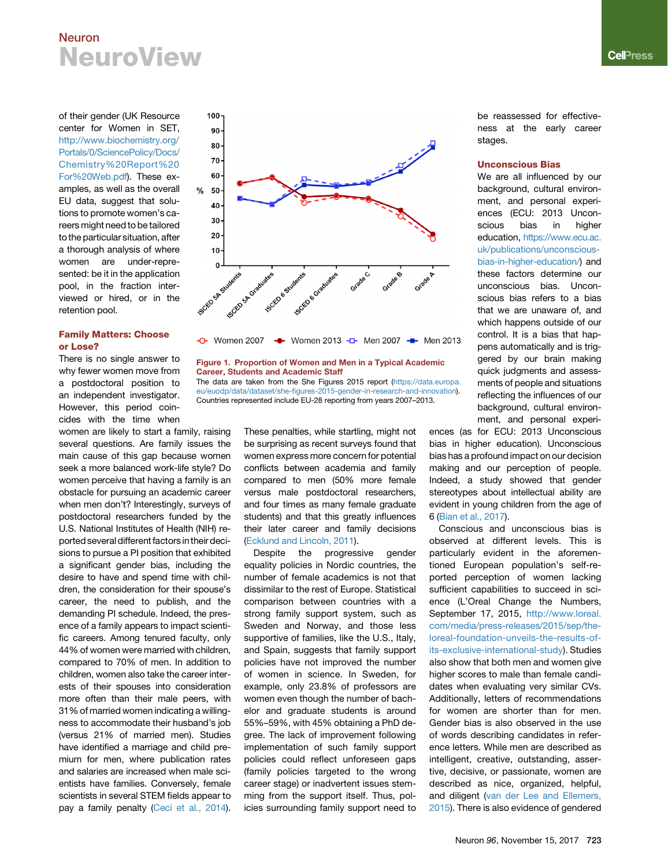of their gender (UK Resource center for Women in SET, [http://www.biochemistry.org/](http://www.biochemistry.org/Portals/0/SciencePolicy/Docs/Chemistry%20Report%20For%20Web.pdf) [Portals/0/SciencePolicy/Docs/](http://www.biochemistry.org/Portals/0/SciencePolicy/Docs/Chemistry%20Report%20For%20Web.pdf) [Chemistry%20Report%20](http://www.biochemistry.org/Portals/0/SciencePolicy/Docs/Chemistry%20Report%20For%20Web.pdf) [For%20Web.pdf\)](http://www.biochemistry.org/Portals/0/SciencePolicy/Docs/Chemistry%20Report%20For%20Web.pdf). These examples, as well as the overall EU data, suggest that solutions to promote women's careers might need to be tailored to the particular situation, after a thorough analysis of where women are under-represented: be it in the application pool, in the fraction interviewed or hired, or in the retention pool.

### Family Matters: Choose or Lose?

There is no single answer to why fewer women move from a postdoctoral position to an independent investigator. However, this period coincides with the time when

women are likely to start a family, raising several questions. Are family issues the main cause of this gap because women seek a more balanced work-life style? Do women perceive that having a family is an obstacle for pursuing an academic career when men don't? Interestingly, surveys of postdoctoral researchers funded by the U.S. National Institutes of Health (NIH) reported several different factors in their decisions to pursue a PI position that exhibited a significant gender bias, including the desire to have and spend time with children, the consideration for their spouse's career, the need to publish, and the demanding PI schedule. Indeed, the presence of a family appears to impact scientific careers. Among tenured faculty, only 44% of women were married with children, compared to 70% of men. In addition to children, women also take the career interests of their spouses into consideration more often than their male peers, with 31% of married women indicating a willingness to accommodate their husband's job (versus 21% of married men). Studies have identified a marriage and child premium for men, where publication rates and salaries are increased when male scientists have families. Conversely, female scientists in several STEM fields appear to pay a family penalty ([Ceci et al., 2014](#page-8-0)).

<span id="page-2-0"></span>

 $\rightarrow$  Women 2007  $\rightarrow$  Women 2013  $\rightarrow$  Men 2007  $\rightarrow$  Men 2013

Figure 1. Proportion of Women and Men in a Typical Academic Career, Students and Academic Staff



These penalties, while startling, might not be surprising as recent surveys found that women express more concern for potential conflicts between academia and family compared to men (50% more female versus male postdoctoral researchers, and four times as many female graduate students) and that this greatly influences their later career and family decisions ([Ecklund and Lincoln, 2011\)](#page-8-1).

Despite the progressive gender equality policies in Nordic countries, the number of female academics is not that dissimilar to the rest of Europe. Statistical comparison between countries with a strong family support system, such as Sweden and Norway, and those less supportive of families, like the U.S., Italy, and Spain, suggests that family support policies have not improved the number of women in science. In Sweden, for example, only 23.8% of professors are women even though the number of bachelor and graduate students is around 55%–59%, with 45% obtaining a PhD degree. The lack of improvement following implementation of such family support policies could reflect unforeseen gaps (family policies targeted to the wrong career stage) or inadvertent issues stemming from the support itself. Thus, policies surrounding family support need to

be reassessed for effectiveness at the early career stages.

### Unconscious Bias

We are all influenced by our background, cultural environment, and personal experiences (ECU: 2013 Unconscious bias in higher education, [https://www.ecu.ac.](https://www.ecu.ac.uk/publications/unconscious-bias-in-higher-education/) [uk/publications/unconscious](https://www.ecu.ac.uk/publications/unconscious-bias-in-higher-education/)[bias-in-higher-education/\)](https://www.ecu.ac.uk/publications/unconscious-bias-in-higher-education/) and these factors determine our unconscious bias. Unconscious bias refers to a bias that we are unaware of, and which happens outside of our control. It is a bias that happens automatically and is triggered by our brain making quick judgments and assessments of people and situations reflecting the influences of our background, cultural environment, and personal experi-

ences (as for ECU: 2013 Unconscious bias in higher education). Unconscious bias has a profound impact on our decision making and our perception of people. Indeed, a study showed that gender stereotypes about intellectual ability are evident in young children from the age of 6 ([Bian et al., 2017\)](#page-8-2).

Conscious and unconscious bias is observed at different levels. This is particularly evident in the aforementioned European population's self-reported perception of women lacking sufficient capabilities to succeed in science (L'Oreal Change the Numbers, September 17, 2015, [http://www.loreal.](http://www.loreal.com/media/press-releases/2015/sep/the-loreal-foundation-unveils-the-results-of-its-exclusive-international-study) [com/media/press-releases/2015/sep/the](http://www.loreal.com/media/press-releases/2015/sep/the-loreal-foundation-unveils-the-results-of-its-exclusive-international-study)[loreal-foundation-unveils-the-results-of](http://www.loreal.com/media/press-releases/2015/sep/the-loreal-foundation-unveils-the-results-of-its-exclusive-international-study)[its-exclusive-international-study\)](http://www.loreal.com/media/press-releases/2015/sep/the-loreal-foundation-unveils-the-results-of-its-exclusive-international-study). Studies also show that both men and women give higher scores to male than female candidates when evaluating very similar CVs. Additionally, letters of recommendations for women are shorter than for men. Gender bias is also observed in the use of words describing candidates in reference letters. While men are described as intelligent, creative, outstanding, assertive, decisive, or passionate, women are described as nice, organized, helpful, and diligent [\(van der Lee and Ellemers,](#page-8-3) [2015\)](#page-8-3). There is also evidence of gendered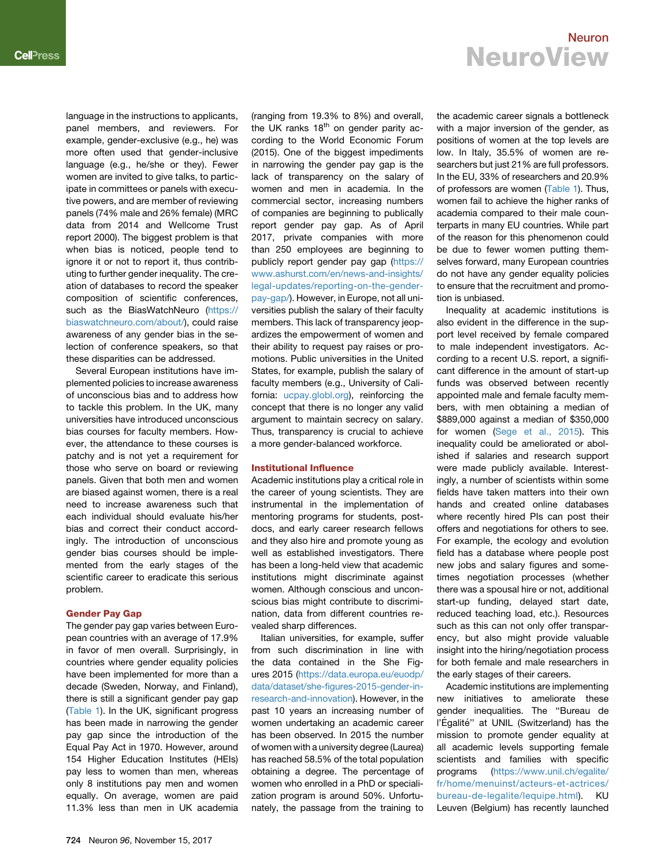language in the instructions to applicants, panel members, and reviewers. For example, gender-exclusive (e.g., he) was more often used that gender-inclusive language (e.g., he/she or they). Fewer women are invited to give talks, to participate in committees or panels with executive powers, and are member of reviewing panels (74% male and 26% female) (MRC data from 2014 and Wellcome Trust report 2000). The biggest problem is that when bias is noticed, people tend to ignore it or not to report it, thus contributing to further gender inequality. The creation of databases to record the speaker composition of scientific conferences, such as the BiasWatchNeuro ([https://](https://biaswatchneuro.com/about/) [biaswatchneuro.com/about/\)](https://biaswatchneuro.com/about/), could raise awareness of any gender bias in the selection of conference speakers, so that these disparities can be addressed.

Several European institutions have implemented policies to increase awareness of unconscious bias and to address how to tackle this problem. In the UK, many universities have introduced unconscious bias courses for faculty members. However, the attendance to these courses is patchy and is not yet a requirement for those who serve on board or reviewing panels. Given that both men and women are biased against women, there is a real need to increase awareness such that each individual should evaluate his/her bias and correct their conduct accordingly. The introduction of unconscious gender bias courses should be implemented from the early stages of the scientific career to eradicate this serious problem.

### Gender Pay Gap

The gender pay gap varies between European countries with an average of 17.9% in favor of men overall. Surprisingly, in countries where gender equality policies have been implemented for more than a decade (Sweden, Norway, and Finland), there is still a significant gender pay gap ([Table 1\)](#page-1-0). In the UK, significant progress has been made in narrowing the gender pay gap since the introduction of the Equal Pay Act in 1970. However, around 154 Higher Education Institutes (HEIs) pay less to women than men, whereas only 8 institutions pay men and women equally. On average, women are paid 11.3% less than men in UK academia

(ranging from 19.3% to 8%) and overall, the UK ranks  $18<sup>th</sup>$  on gender parity according to the World Economic Forum (2015). One of the biggest impediments in narrowing the gender pay gap is the lack of transparency on the salary of women and men in academia. In the commercial sector, increasing numbers of companies are beginning to publically report gender pay gap. As of April 2017, private companies with more than 250 employees are beginning to publicly report gender pay gap [\(https://](https://www.ashurst.com/en/news-and-insights/legal-updates/reporting-on-the-gender-pay-gap/) [www.ashurst.com/en/news-and-insights/](https://www.ashurst.com/en/news-and-insights/legal-updates/reporting-on-the-gender-pay-gap/) [legal-updates/reporting-on-the-gender](https://www.ashurst.com/en/news-and-insights/legal-updates/reporting-on-the-gender-pay-gap/)[pay-gap/\)](https://www.ashurst.com/en/news-and-insights/legal-updates/reporting-on-the-gender-pay-gap/). However, in Europe, not all universities publish the salary of their faculty members. This lack of transparency jeopardizes the empowerment of women and their ability to request pay raises or promotions. Public universities in the United States, for example, publish the salary of faculty members (e.g., University of California: [ucpay.globl.org](http://ucpay.globl.org)), reinforcing the concept that there is no longer any valid argument to maintain secrecy on salary. Thus, transparency is crucial to achieve a more gender-balanced workforce.

#### Institutional Influence

Academic institutions play a critical role in the career of young scientists. They are instrumental in the implementation of mentoring programs for students, postdocs, and early career research fellows and they also hire and promote young as well as established investigators. There has been a long-held view that academic institutions might discriminate against women. Although conscious and unconscious bias might contribute to discrimination, data from different countries revealed sharp differences.

Italian universities, for example, suffer from such discrimination in line with the data contained in the She Figures 2015 [\(https://data.europa.eu/euodp/](https://data.europa.eu/euodp/data/dataset/she-figures-2015-gender-in-research-and-innovation) [data/dataset/she-figures-2015-gender-in](https://data.europa.eu/euodp/data/dataset/she-figures-2015-gender-in-research-and-innovation)[research-and-innovation\)](https://data.europa.eu/euodp/data/dataset/she-figures-2015-gender-in-research-and-innovation). However, in the past 10 years an increasing number of women undertaking an academic career has been observed. In 2015 the number of women with a university degree (Laurea) has reached 58.5% of the total population obtaining a degree. The percentage of women who enrolled in a PhD or specialization program is around 50%. Unfortunately, the passage from the training to

# Neuron **NeuroView**

the academic career signals a bottleneck with a major inversion of the gender, as positions of women at the top levels are low. In Italy, 35.5% of women are researchers but just 21% are full professors. In the EU, 33% of researchers and 20.9% of professors are women [\(Table 1](#page-1-0)). Thus, women fail to achieve the higher ranks of academia compared to their male counterparts in many EU countries. While part of the reason for this phenomenon could be due to fewer women putting themselves forward, many European countries do not have any gender equality policies to ensure that the recruitment and promotion is unbiased.

Inequality at academic institutions is also evident in the difference in the support level received by female compared to male independent investigators. According to a recent U.S. report, a significant difference in the amount of start-up funds was observed between recently appointed male and female faculty members, with men obtaining a median of \$889,000 against a median of \$350,000 for women [\(Sege et al., 2015](#page-8-4)). This inequality could be ameliorated or abolished if salaries and research support were made publicly available. Interestingly, a number of scientists within some fields have taken matters into their own hands and created online databases where recently hired PIs can post their offers and negotiations for others to see. For example, the ecology and evolution field has a database where people post new jobs and salary figures and sometimes negotiation processes (whether there was a spousal hire or not, additional start-up funding, delayed start date, reduced teaching load, etc.). Resources such as this can not only offer transparency, but also might provide valuable insight into the hiring/negotiation process for both female and male researchers in the early stages of their careers.

Academic institutions are implementing new initiatives to ameliorate these gender inequalities. The ''Bureau de l'Égalité" at UNIL (Switzerland) has the mission to promote gender equality at all academic levels supporting female scientists and families with specific programs ([https://www.unil.ch/egalite/](https://www.unil.ch/egalite/fr/home/menuinst/acteurs-et-actrices/bureau-de-legalite/lequipe.html) [fr/home/menuinst/acteurs-et-actrices/](https://www.unil.ch/egalite/fr/home/menuinst/acteurs-et-actrices/bureau-de-legalite/lequipe.html) [bureau-de-legalite/lequipe.html](https://www.unil.ch/egalite/fr/home/menuinst/acteurs-et-actrices/bureau-de-legalite/lequipe.html)). KU Leuven (Belgium) has recently launched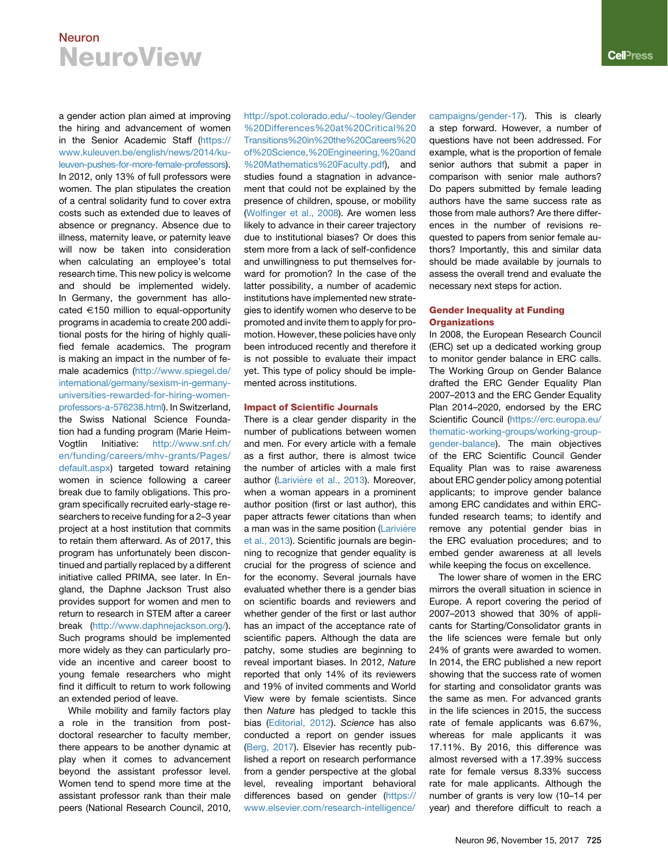a gender action plan aimed at improving the hiring and advancement of women in the Senior Academic Staff [\(https://](https://www.kuleuven.be/english/news/2014/ku-leuven-pushes-for-more-female-professors) [www.kuleuven.be/english/news/2014/ku](https://www.kuleuven.be/english/news/2014/ku-leuven-pushes-for-more-female-professors)[leuven-pushes-for-more-female-professors\)](https://www.kuleuven.be/english/news/2014/ku-leuven-pushes-for-more-female-professors). In 2012, only 13% of full professors were women. The plan stipulates the creation of a central solidarity fund to cover extra costs such as extended due to leaves of absence or pregnancy. Absence due to illness, maternity leave, or paternity leave will now be taken into consideration when calculating an employee's total research time. This new policy is welcome and should be implemented widely. In Germany, the government has allocated  $\in$ 150 million to equal-opportunity programs in academia to create 200 additional posts for the hiring of highly qualified female academics. The program is making an impact in the number of female academics ([http://www.spiegel.de/](http://www.spiegel.de/international/germany/sexism-in-germany-universities-rewarded-for-hiring-women-professors-a-576238.html) [international/germany/sexism-in-germany](http://www.spiegel.de/international/germany/sexism-in-germany-universities-rewarded-for-hiring-women-professors-a-576238.html)[universities-rewarded-for-hiring-women](http://www.spiegel.de/international/germany/sexism-in-germany-universities-rewarded-for-hiring-women-professors-a-576238.html)[professors-a-576238.html](http://www.spiegel.de/international/germany/sexism-in-germany-universities-rewarded-for-hiring-women-professors-a-576238.html)). In Switzerland, the Swiss National Science Foundation had a funding program (Marie Heim-Vogtlin Initiative: [http://www.snf.ch/](http://www.snf.ch/en/funding/careers/mhv-grants/Pages/default.aspx) [en/funding/careers/mhv-grants/Pages/](http://www.snf.ch/en/funding/careers/mhv-grants/Pages/default.aspx) [default.aspx\)](http://www.snf.ch/en/funding/careers/mhv-grants/Pages/default.aspx) targeted toward retaining women in science following a career break due to family obligations. This program specifically recruited early-stage researchers to receive funding for a 2–3 year project at a host institution that commits to retain them afterward. As of 2017, this program has unfortunately been discontinued and partially replaced by a different initiative called PRIMA, see later. In England, the Daphne Jackson Trust also provides support for women and men to return to research in STEM after a career break ([http://www.daphnejackson.org/\)](http://www.daphnejackson.org/). Such programs should be implemented more widely as they can particularly provide an incentive and career boost to young female researchers who might find it difficult to return to work following an extended period of leave.

While mobility and family factors play a role in the transition from postdoctoral researcher to faculty member, there appears to be another dynamic at play when it comes to advancement beyond the assistant professor level. Women tend to spend more time at the assistant professor rank than their male peers (National Research Council, 2010,

[http://spot.colorado.edu/](http://spot.colorado.edu/%7Etooley/Gender%20Differences%20at%20Critical%20Transitions%20in%20the%20Careers%20of%20Science,%20Engineering,%20and%20Mathematics%20Faculty.pdf)~[tooley/Gender](http://spot.colorado.edu/%7Etooley/Gender%20Differences%20at%20Critical%20Transitions%20in%20the%20Careers%20of%20Science,%20Engineering,%20and%20Mathematics%20Faculty.pdf) [%20Differences%20at%20Critical%20](http://spot.colorado.edu/%7Etooley/Gender%20Differences%20at%20Critical%20Transitions%20in%20the%20Careers%20of%20Science,%20Engineering,%20and%20Mathematics%20Faculty.pdf) [Transitions%20in%20the%20Careers%20](http://spot.colorado.edu/%7Etooley/Gender%20Differences%20at%20Critical%20Transitions%20in%20the%20Careers%20of%20Science,%20Engineering,%20and%20Mathematics%20Faculty.pdf) [of%20Science,%20Engineering,%20and](http://spot.colorado.edu/%7Etooley/Gender%20Differences%20at%20Critical%20Transitions%20in%20the%20Careers%20of%20Science,%20Engineering,%20and%20Mathematics%20Faculty.pdf) [%20Mathematics%20Faculty.pdf\)](http://spot.colorado.edu/%7Etooley/Gender%20Differences%20at%20Critical%20Transitions%20in%20the%20Careers%20of%20Science,%20Engineering,%20and%20Mathematics%20Faculty.pdf), and studies found a stagnation in advancement that could not be explained by the presence of children, spouse, or mobility ([Wolfinger et al., 2008\)](#page-8-5). Are women less likely to advance in their career trajectory due to institutional biases? Or does this stem more from a lack of self-confidence and unwillingness to put themselves forward for promotion? In the case of the latter possibility, a number of academic institutions have implemented new strategies to identify women who deserve to be promoted and invite them to apply for promotion. However, these policies have only been introduced recently and therefore it is not possible to evaluate their impact yet. This type of policy should be implemented across institutions.

### Impact of Scientific Journals

There is a clear gender disparity in the number of publications between women and men. For every article with a female as a first author, there is almost twice the number of articles with a male first author (Larivière et al., 2013). Moreover, when a woman appears in a prominent author position (first or last author), this paper attracts fewer citations than when a man was in the same position (Larivière [et al., 2013](#page-8-6)). Scientific journals are beginning to recognize that gender equality is crucial for the progress of science and for the economy. Several journals have evaluated whether there is a gender bias on scientific boards and reviewers and whether gender of the first or last author has an impact of the acceptance rate of scientific papers. Although the data are patchy, some studies are beginning to reveal important biases. In 2012, *Nature* reported that only 14% of its reviewers and 19% of invited comments and World View were by female scientists. Since then *Nature* has pledged to tackle this bias ([Editorial, 2012\)](#page-8-7). *Science* has also conducted a report on gender issues ([Berg, 2017\)](#page-8-8). Elsevier has recently published a report on research performance from a gender perspective at the global level, revealing important behavioral differences based on gender ([https://](https://www.elsevier.com/research-intelligence/campaigns/gender-17) [www.elsevier.com/research-intelligence/](https://www.elsevier.com/research-intelligence/campaigns/gender-17)

[campaigns/gender-17](https://www.elsevier.com/research-intelligence/campaigns/gender-17)). This is clearly a step forward. However, a number of questions have not been addressed. For example, what is the proportion of female senior authors that submit a paper in comparison with senior male authors? Do papers submitted by female leading authors have the same success rate as those from male authors? Are there differences in the number of revisions requested to papers from senior female authors? Importantly, this and similar data should be made available by journals to assess the overall trend and evaluate the necessary next steps for action.

### Gender Inequality at Funding **Organizations**

In 2008, the European Research Council (ERC) set up a dedicated working group to monitor gender balance in ERC calls. The Working Group on Gender Balance drafted the ERC Gender Equality Plan 2007–2013 and the ERC Gender Equality Plan 2014–2020, endorsed by the ERC Scientific Council ([https://erc.europa.eu/](https://erc.europa.eu/thematic-working-groups/working-group-gender-balance) [thematic-working-groups/working-group](https://erc.europa.eu/thematic-working-groups/working-group-gender-balance)[gender-balance\)](https://erc.europa.eu/thematic-working-groups/working-group-gender-balance). The main objectives of the ERC Scientific Council Gender Equality Plan was to raise awareness about ERC gender policy among potential applicants; to improve gender balance among ERC candidates and within ERCfunded research teams; to identify and remove any potential gender bias in the ERC evaluation procedures; and to embed gender awareness at all levels while keeping the focus on excellence.

The lower share of women in the ERC mirrors the overall situation in science in Europe. A report covering the period of 2007–2013 showed that 30% of applicants for Starting/Consolidator grants in the life sciences were female but only 24% of grants were awarded to women. In 2014, the ERC published a new report showing that the success rate of women for starting and consolidator grants was the same as men. For advanced grants in the life sciences in 2015, the success rate of female applicants was 6.67%, whereas for male applicants it was 17.11%. By 2016, this difference was almost reversed with a 17.39% success rate for female versus 8.33% success rate for male applicants. Although the number of grants is very low (10–14 per year) and therefore difficult to reach a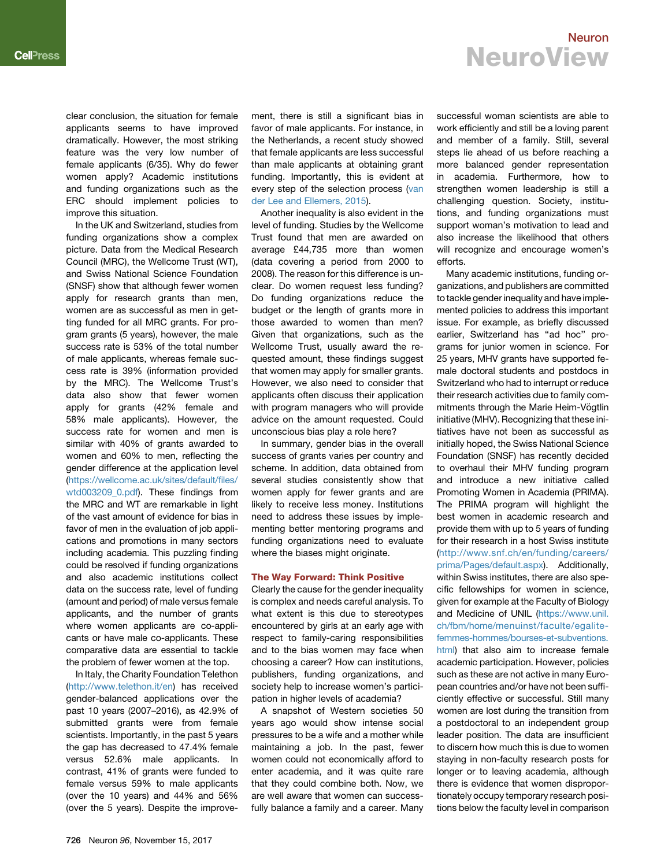clear conclusion, the situation for female applicants seems to have improved dramatically. However, the most striking feature was the very low number of female applicants (6/35). Why do fewer women apply? Academic institutions and funding organizations such as the ERC should implement policies to improve this situation.

In the UK and Switzerland, studies from funding organizations show a complex picture. Data from the Medical Research Council (MRC), the Wellcome Trust (WT), and Swiss National Science Foundation (SNSF) show that although fewer women apply for research grants than men, women are as successful as men in getting funded for all MRC grants. For program grants (5 years), however, the male success rate is 53% of the total number of male applicants, whereas female success rate is 39% (information provided by the MRC). The Wellcome Trust's data also show that fewer women apply for grants (42% female and 58% male applicants). However, the success rate for women and men is similar with 40% of grants awarded to women and 60% to men, reflecting the gender difference at the application level ([https://wellcome.ac.uk/sites/default/files/](https://wellcome.ac.uk/sites/default/files/wtd003209_0.pdf) [wtd003209\\_0.pdf\)](https://wellcome.ac.uk/sites/default/files/wtd003209_0.pdf). These findings from the MRC and WT are remarkable in light of the vast amount of evidence for bias in favor of men in the evaluation of job applications and promotions in many sectors including academia. This puzzling finding could be resolved if funding organizations and also academic institutions collect data on the success rate, level of funding (amount and period) of male versus female applicants, and the number of grants where women applicants are co-applicants or have male co-applicants. These comparative data are essential to tackle the problem of fewer women at the top.

In Italy, the Charity Foundation Telethon (<http://www.telethon.it/en>) has received gender-balanced applications over the past 10 years (2007–2016), as 42.9% of submitted grants were from female scientists. Importantly, in the past 5 years the gap has decreased to 47.4% female versus 52.6% male applicants. In contrast, 41% of grants were funded to female versus 59% to male applicants (over the 10 years) and 44% and 56% (over the 5 years). Despite the improvement, there is still a significant bias in favor of male applicants. For instance, in the Netherlands, a recent study showed that female applicants are less successful than male applicants at obtaining grant funding. Importantly, this is evident at every step of the selection process [\(van](#page-8-3) [der Lee and Ellemers, 2015\)](#page-8-3).

Another inequality is also evident in the level of funding. Studies by the Wellcome Trust found that men are awarded on average £44,735 more than women (data covering a period from 2000 to 2008). The reason for this difference is unclear. Do women request less funding? Do funding organizations reduce the budget or the length of grants more in those awarded to women than men? Given that organizations, such as the Wellcome Trust, usually award the requested amount, these findings suggest that women may apply for smaller grants. However, we also need to consider that applicants often discuss their application with program managers who will provide advice on the amount requested. Could unconscious bias play a role here?

In summary, gender bias in the overall success of grants varies per country and scheme. In addition, data obtained from several studies consistently show that women apply for fewer grants and are likely to receive less money. Institutions need to address these issues by implementing better mentoring programs and funding organizations need to evaluate where the biases might originate.

#### The Way Forward: Think Positive

Clearly the cause for the gender inequality is complex and needs careful analysis. To what extent is this due to stereotypes encountered by girls at an early age with respect to family-caring responsibilities and to the bias women may face when choosing a career? How can institutions, publishers, funding organizations, and society help to increase women's participation in higher levels of academia?

A snapshot of Western societies 50 years ago would show intense social pressures to be a wife and a mother while maintaining a job. In the past, fewer women could not economically afford to enter academia, and it was quite rare that they could combine both. Now, we are well aware that women can successfully balance a family and a career. Many successful woman scientists are able to work efficiently and still be a loving parent and member of a family. Still, several steps lie ahead of us before reaching a more balanced gender representation in academia. Furthermore, how to strengthen women leadership is still a challenging question. Society, institutions, and funding organizations must support woman's motivation to lead and also increase the likelihood that others will recognize and encourage women's efforts.

Many academic institutions, funding organizations, and publishers are committed to tackle gender inequality and have implemented policies to address this important issue. For example, as briefly discussed earlier, Switzerland has ''ad hoc'' programs for junior women in science. For 25 years, MHV grants have supported female doctoral students and postdocs in Switzerland who had to interrupt or reduce their research activities due to family commitments through the Marie Heim-Vögtlin initiative (MHV). Recognizing that these initiatives have not been as successful as initially hoped, the Swiss National Science Foundation (SNSF) has recently decided to overhaul their MHV funding program and introduce a new initiative called Promoting Women in Academia (PRIMA). The PRIMA program will highlight the best women in academic research and provide them with up to 5 years of funding for their research in a host Swiss institute ([http://www.snf.ch/en/funding/careers/](http://www.snf.ch/en/funding/careers/prima/Pages/default.aspx) [prima/Pages/default.aspx\)](http://www.snf.ch/en/funding/careers/prima/Pages/default.aspx). Additionally, within Swiss institutes, there are also specific fellowships for women in science, given for example at the Faculty of Biology and Medicine of UNIL [\(https://www.unil.](https://www.unil.ch/fbm/home/menuinst/faculte/egalite-femmes-hommes/bourses-et-subventions.html) [ch/fbm/home/menuinst/faculte/egalite](https://www.unil.ch/fbm/home/menuinst/faculte/egalite-femmes-hommes/bourses-et-subventions.html)[femmes-hommes/bourses-et-subventions.](https://www.unil.ch/fbm/home/menuinst/faculte/egalite-femmes-hommes/bourses-et-subventions.html) [html\)](https://www.unil.ch/fbm/home/menuinst/faculte/egalite-femmes-hommes/bourses-et-subventions.html) that also aim to increase female academic participation. However, policies such as these are not active in many European countries and/or have not been sufficiently effective or successful. Still many women are lost during the transition from a postdoctoral to an independent group leader position. The data are insufficient to discern how much this is due to women staying in non-faculty research posts for longer or to leaving academia, although there is evidence that women disproportionately occupy temporary research positions below the faculty level in comparison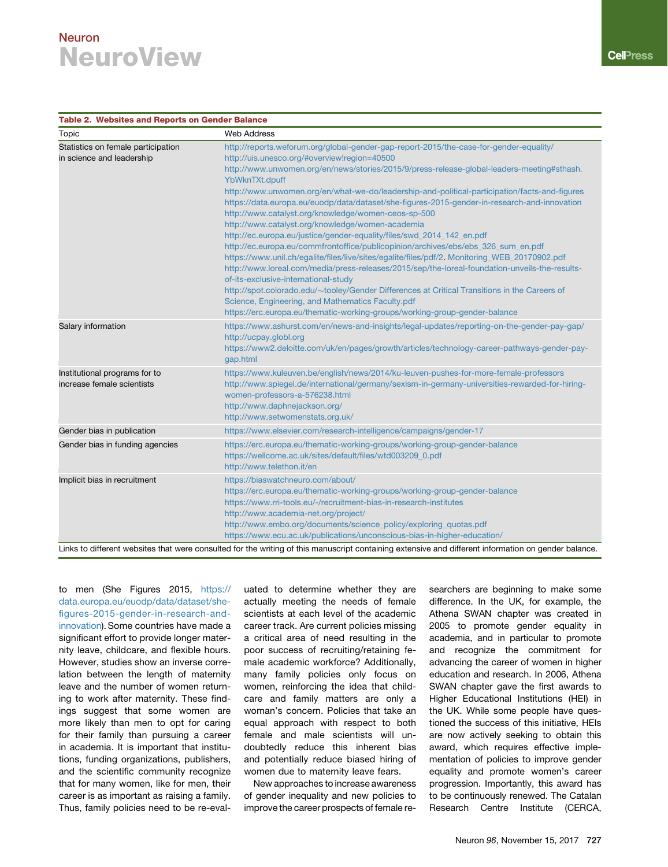### <span id="page-6-0"></span>Table 2. Websites and Reports on Gender Balance

| Topic                                                           | <b>Web Address</b>                                                                                                                                                                                                                                                                                                                                                                                    |  |  |  |
|-----------------------------------------------------------------|-------------------------------------------------------------------------------------------------------------------------------------------------------------------------------------------------------------------------------------------------------------------------------------------------------------------------------------------------------------------------------------------------------|--|--|--|
| Statistics on female participation<br>in science and leadership | http://reports.weforum.org/global-gender-gap-report-2015/the-case-for-gender-equality/<br>http://uis.unesco.org/#overview!region=40500                                                                                                                                                                                                                                                                |  |  |  |
|                                                                 | http://www.unwomen.org/en/news/stories/2015/9/press-release-global-leaders-meeting#sthash.<br>YbWknTXt.dpuff                                                                                                                                                                                                                                                                                          |  |  |  |
|                                                                 | http://www.unwomen.org/en/what-we-do/leadership-and-political-participation/facts-and-figures<br>https://data.europa.eu/euodp/data/dataset/she-figures-2015-gender-in-research-and-innovation<br>http://www.catalyst.org/knowledge/women-ceos-sp-500<br>http://www.catalyst.org/knowledge/women-academia                                                                                              |  |  |  |
|                                                                 | http://ec.europa.eu/justice/gender-equality/files/swd_2014_142_en.pdf<br>http://ec.europa.eu/commfrontoffice/publicopinion/archives/ebs/ebs_326_sum_en.pdf<br>https://www.unil.ch/egalite/files/live/sites/egalite/files/pdf/2. Monitoring_WEB_20170902.pdf<br>http://www.loreal.com/media/press-releases/2015/sep/the-loreal-foundation-unveils-the-results-<br>of-its-exclusive-international-study |  |  |  |
|                                                                 | http://spot.colorado.edu/~tooley/Gender Differences at Critical Transitions in the Careers of<br>Science, Engineering, and Mathematics Faculty.pdf<br>https://erc.europa.eu/thematic-working-groups/working-group-gender-balance                                                                                                                                                                      |  |  |  |
| Salary information                                              | https://www.ashurst.com/en/news-and-insights/legal-updates/reporting-on-the-gender-pay-gap/<br>http://ucpay.globl.org<br>https://www2.deloitte.com/uk/en/pages/growth/articles/technology-career-pathways-gender-pay-<br>gap.html                                                                                                                                                                     |  |  |  |
| Institutional programs for to<br>increase female scientists     | https://www.kuleuven.be/english/news/2014/ku-leuven-pushes-for-more-female-professors<br>http://www.spiegel.de/international/germany/sexism-in-germany-universities-rewarded-for-hiring-<br>women-professors-a-576238.html<br>http://www.daphnejackson.org/<br>http://www.setwomenstats.org.uk/                                                                                                       |  |  |  |
| Gender bias in publication                                      | https://www.elsevier.com/research-intelligence/campaigns/gender-17                                                                                                                                                                                                                                                                                                                                    |  |  |  |
| Gender bias in funding agencies                                 | https://erc.europa.eu/thematic-working-groups/working-group-gender-balance<br>https://wellcome.ac.uk/sites/default/files/wtd003209_0.pdf<br>http://www.telethon.it/en                                                                                                                                                                                                                                 |  |  |  |
| Implicit bias in recruitment                                    | https://biaswatchneuro.com/about/<br>https://erc.europa.eu/thematic-working-groups/working-group-gender-balance<br>https://www.rri-tools.eu/-/recruitment-bias-in-research-institutes<br>http://www.academia-net.org/project/<br>http://www.embo.org/documents/science_policy/exploring_quotas.pdf<br>https://www.ecu.ac.uk/publications/unconscious-bias-in-higher-education/                        |  |  |  |

to men (She Figures 2015, [https://](https://data.europa.eu/euodp/data/dataset/she-figures-2015-gender-in-research-and-innovation) [data.europa.eu/euodp/data/dataset/she](https://data.europa.eu/euodp/data/dataset/she-figures-2015-gender-in-research-and-innovation)[figures-2015-gender-in-research-and](https://data.europa.eu/euodp/data/dataset/she-figures-2015-gender-in-research-and-innovation)[innovation\)](https://data.europa.eu/euodp/data/dataset/she-figures-2015-gender-in-research-and-innovation). Some countries have made a significant effort to provide longer maternity leave, childcare, and flexible hours. However, studies show an inverse correlation between the length of maternity leave and the number of women returning to work after maternity. These findings suggest that some women are more likely than men to opt for caring for their family than pursuing a career in academia. It is important that institutions, funding organizations, publishers, and the scientific community recognize that for many women, like for men, their career is as important as raising a family. Thus, family policies need to be re-eval-

uated to determine whether they are actually meeting the needs of female scientists at each level of the academic career track. Are current policies missing a critical area of need resulting in the poor success of recruiting/retaining female academic workforce? Additionally, many family policies only focus on women, reinforcing the idea that childcare and family matters are only a woman's concern. Policies that take an equal approach with respect to both female and male scientists will undoubtedly reduce this inherent bias and potentially reduce biased hiring of women due to maternity leave fears.

New approaches to increase awareness of gender inequality and new policies to improve the career prospects of female researchers are beginning to make some difference. In the UK, for example, the Athena SWAN chapter was created in 2005 to promote gender equality in academia, and in particular to promote and recognize the commitment for advancing the career of women in higher education and research. In 2006, Athena SWAN chapter gave the first awards to Higher Educational Institutions (HEI) in the UK. While some people have questioned the success of this initiative, HEIs are now actively seeking to obtain this award, which requires effective implementation of policies to improve gender equality and promote women's career progression. Importantly, this award has to be continuously renewed. The Catalan Research Centre Institute (CERCA,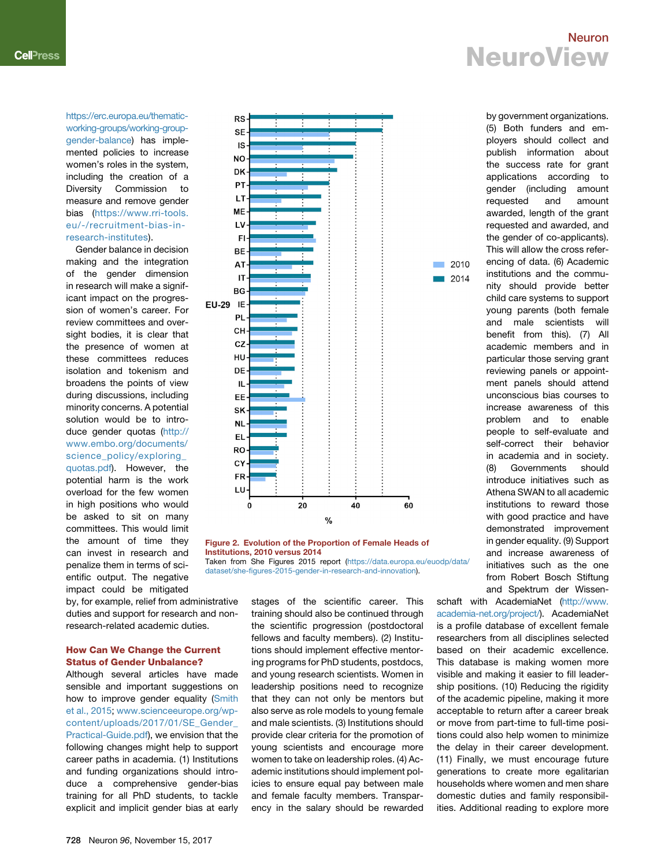[https://erc.europa.eu/thematic](https://erc.europa.eu/thematic-working-groups/working-group-gender-balance)[working-groups/working-group](https://erc.europa.eu/thematic-working-groups/working-group-gender-balance)[gender-balance\)](https://erc.europa.eu/thematic-working-groups/working-group-gender-balance) has implemented policies to increase women's roles in the system, including the creation of a Diversity Commission to measure and remove gender bias ([https://www.rri-tools.](https://www.rri-tools.eu/-/recruitment-bias-in-research-institutes) [eu/-/recruitment-bias-in](https://www.rri-tools.eu/-/recruitment-bias-in-research-institutes)[research-institutes\)](https://www.rri-tools.eu/-/recruitment-bias-in-research-institutes).

Gender balance in decision making and the integration of the gender dimension in research will make a significant impact on the progression of women's career. For review committees and oversight bodies, it is clear that the presence of women at these committees reduces isolation and tokenism and broadens the points of view during discussions, including minority concerns. A potential solution would be to introduce gender quotas [\(http://](http://www.embo.org/documents/science_policy/exploring_quotas.pdf) [www.embo.org/documents/](http://www.embo.org/documents/science_policy/exploring_quotas.pdf) [science\\_policy/exploring\\_](http://www.embo.org/documents/science_policy/exploring_quotas.pdf) [quotas.pdf\)](http://www.embo.org/documents/science_policy/exploring_quotas.pdf). However, the potential harm is the work overload for the few women in high positions who would be asked to sit on many committees. This would limit the amount of time they can invest in research and penalize them in terms of scientific output. The negative impact could be mitigated

<span id="page-7-0"></span>

#### Figure 2. Evolution of the Proportion of Female Heads of Institutions, 2010 versus 2014

Taken from She Figures 2015 report ([https://data.europa.eu/euodp/data/](https://data.europa.eu/euodp/data/dataset/she-figures-2015-gender-in-research-and-innovation) [dataset/she-figures-2015-gender-in-research-and-innovation\)](https://data.europa.eu/euodp/data/dataset/she-figures-2015-gender-in-research-and-innovation).

by, for example, relief from administrative duties and support for research and nonresearch-related academic duties.

### How Can We Change the Current Status of Gender Unbalance?

Although several articles have made sensible and important suggestions on how to improve gender equality [\(Smith](#page-8-9) [et al., 2015;](#page-8-9) [www.scienceeurope.org/wp](http://www.scienceeurope.org/wp-content/uploads/2017/01/SE_Gender_Practical-Guide.pdf)[content/uploads/2017/01/SE\\_Gender\\_](http://www.scienceeurope.org/wp-content/uploads/2017/01/SE_Gender_Practical-Guide.pdf) [Practical-Guide.pdf\)](http://www.scienceeurope.org/wp-content/uploads/2017/01/SE_Gender_Practical-Guide.pdf), we envision that the following changes might help to support career paths in academia. (1) Institutions and funding organizations should introduce a comprehensive gender-bias training for all PhD students, to tackle explicit and implicit gender bias at early

stages of the scientific career. This training should also be continued through the scientific progression (postdoctoral fellows and faculty members). (2) Institutions should implement effective mentoring programs for PhD students, postdocs, and young research scientists. Women in leadership positions need to recognize that they can not only be mentors but also serve as role models to young female and male scientists. (3) Institutions should provide clear criteria for the promotion of young scientists and encourage more women to take on leadership roles. (4) Academic institutions should implement policies to ensure equal pay between male and female faculty members. Transparency in the salary should be rewarded

# Neuron **NeuroView**

by government organizations. (5) Both funders and employers should collect and publish information about the success rate for grant applications according to gender (including amount requested and amount awarded, length of the grant requested and awarded, and the gender of co-applicants). This will allow the cross referencing of data. (6) Academic institutions and the community should provide better child care systems to support young parents (both female and male scientists will benefit from this). (7) All academic members and in particular those serving grant reviewing panels or appointment panels should attend unconscious bias courses to increase awareness of this problem and to enable people to self-evaluate and self-correct their behavior in academia and in society. (8) Governments should introduce initiatives such as Athena SWAN to all academic institutions to reward those with good practice and have demonstrated improvement in gender equality. (9) Support and increase awareness of initiatives such as the one from Robert Bosch Stiftung and Spektrum der Wissen-

schaft with AcademiaNet ([http://www.](http://www.academia-net.org/project/) [academia-net.org/project/](http://www.academia-net.org/project/)). AcademiaNet is a profile database of excellent female researchers from all disciplines selected based on their academic excellence. This database is making women more visible and making it easier to fill leadership positions. (10) Reducing the rigidity of the academic pipeline, making it more acceptable to return after a career break or move from part-time to full-time positions could also help women to minimize the delay in their career development. (11) Finally, we must encourage future generations to create more egalitarian households where women and men share domestic duties and family responsibilities. Additional reading to explore more